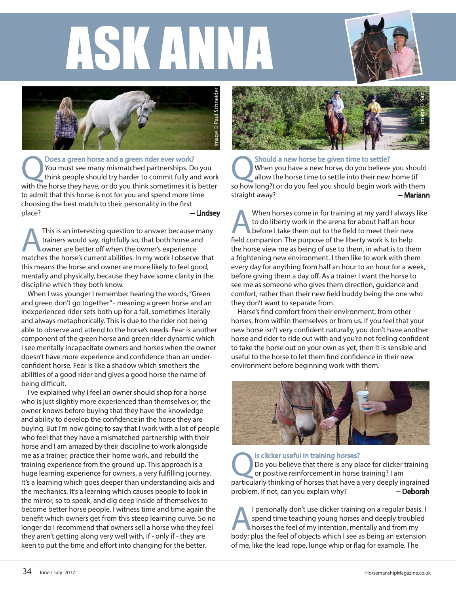## ASK ANNA





**ODOES a green horse and a green rider ever work?**<br>You must see many mismatched partnerships. Do you<br>think people should try harder to commit fully and work<br>with the borse they have or do you think sometimes it is better. You must see many mismatched partnerships. Do you with the horse they have, or do you think sometimes it is better to admit that this horse is not for you and spend more time choosing the best match to their personality in the first place? **--- Lindsey** 

This is an interesting question to answer because many<br>trainers would say, rightfully so, that both horse and<br>owner are better off when the owner's experience<br>matches the horse's current abilities. In my work Lobserve that trainers would say, rightfully so, that both horse and owner are better off when the owner's experience matches the horse's current abilities. In my work I observe that this means the horse and owner are more likely to feel good, mentally and physically, because they have some clarity in the discipline which they both know.

When I was younger I remember hearing the words, "Green and green don't go together" - meaning a green horse and an inexperienced rider sets both up for a fall, sometimes literally and always metaphorically. This is due to the rider not being able to observe and attend to the horse's needs. Fear is another component of the green horse and green rider dynamic which I see mentally incapacitate owners and horses when the owner doesn't have more experience and confidence than an underconfident horse. Fear is like a shadow which smothers the abilities of a good rider and gives a good horse the name of being difficult.

I've explained why I feel an owner should shop for a horse who is just slightly more experienced than themselves or, the owner knows before buying that they have the knowledge and ability to develop the confidence in the horse they are buying. But I'm now going to say that I work with a lot of people who feel that they have a mismatched partnership with their horse and I am amazed by their discipline to work alongside me as a trainer, practice their home work, and rebuild the training experience from the ground up. This approach is a huge learning experience for owners, a very fulfilling journey. It's a learning which goes deeper than understanding aids and the mechanics. It's a learning which causes people to look in the mirror, so to speak, and dig deep inside of themselves to become better horse people. I witness time and time again the benefit which owners get from this steep learning curve. So no longer do I recommend that owners sell a horse who they feel they aren't getting along very well with, if - only if - they are keen to put the time and effort into changing for the better.



Should a new horse be given time to settle?<br>
When you have a new horse, do you believe you should<br>
allow the horse time to settle into their new home (if When you have a new horse, do you believe you should so how long?) or do you feel you should begin work with them straight away? **-- Mariann** 

When horses come in for training at my yard I always like to do liberty work in the arena for about half an hour before I take them out to the field to meet their new field companion. The purpose of the liberty work is to help the horse view me as being of use to them, in what is to them a frightening new environment. I then like to work with them every day for anything from half an hour to an hour for a week, before giving them a day off. As a trainer I want the horse to see me as someone who gives them direction, guidance and comfort, rather than their new field buddy being the one who they don't want to separate from.

Horse's find comfort from their environment, from other horses, from within themselves or from us. If you feel that your new horse isn't very confident naturally, you don't have another horse and rider to ride out with and you're not feeling confident to take the horse out on your own as yet, then it is sensible and useful to the horse to let them find confidence in their new environment before beginning work with them.



Is clicker useful in training horses? Do you believe that there is any place for clicker training or positive reinforcement in horse training? I am particularly thinking of horses that have a very deeply ingrained problem. If not, can you explain why? -- Deborah

I personally don't use clicker training on a regular basis. I spend time teaching young horses and deeply troubled horses the feel of my intention, mentally and from my body; plus the feel of objects which I see as being an extension of me, like the lead rope, lunge whip or flag for example. The